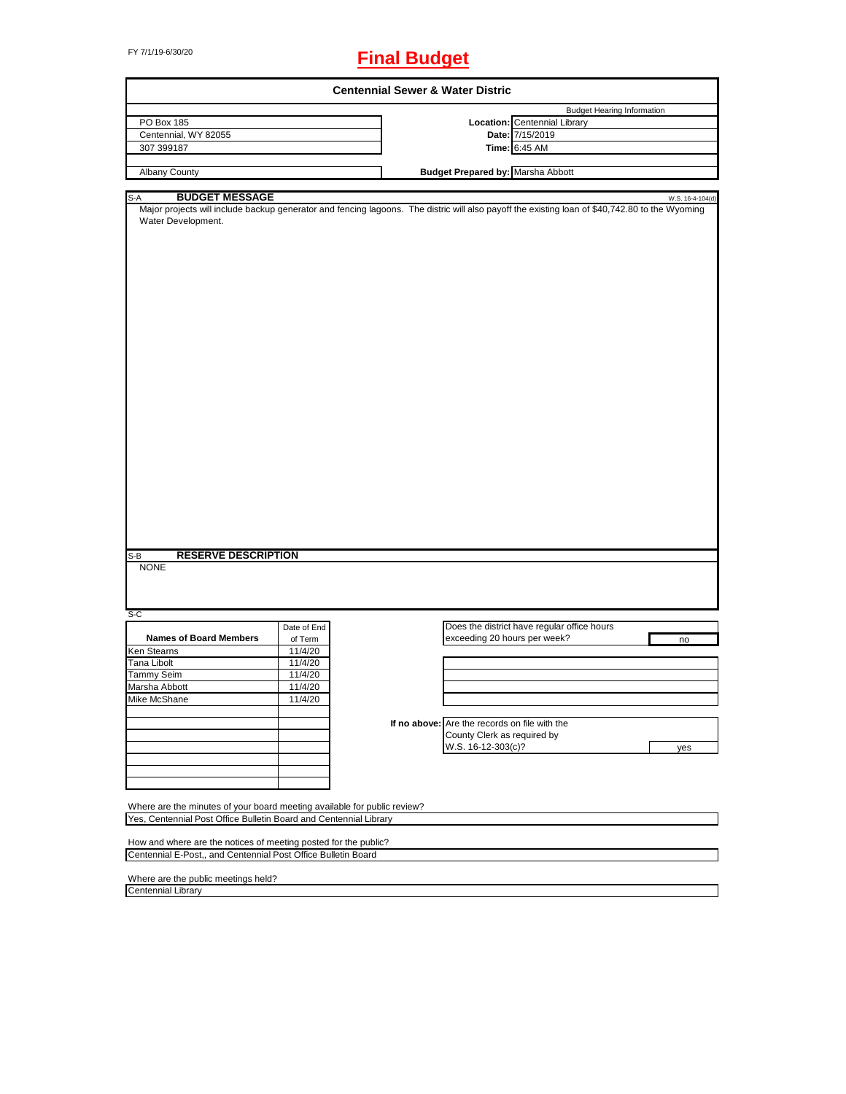# FY 7/1/19-6/30/20 **Final Budget**

| <b>Centennial Sewer &amp; Water Distric</b>                                                                                                                                                           |             |  |                                               |                                             |  |                  |
|-------------------------------------------------------------------------------------------------------------------------------------------------------------------------------------------------------|-------------|--|-----------------------------------------------|---------------------------------------------|--|------------------|
|                                                                                                                                                                                                       |             |  |                                               | <b>Budget Hearing Information</b>           |  |                  |
| PO Box 185                                                                                                                                                                                            |             |  |                                               | Location: Centennial Library                |  |                  |
| Centennial, WY 82055                                                                                                                                                                                  |             |  |                                               | Date: 7/15/2019                             |  |                  |
| 307 399187                                                                                                                                                                                            |             |  |                                               | Time: 6:45 AM                               |  |                  |
|                                                                                                                                                                                                       |             |  |                                               |                                             |  |                  |
| Albany County                                                                                                                                                                                         |             |  | <b>Budget Prepared by: Marsha Abbott</b>      |                                             |  |                  |
|                                                                                                                                                                                                       |             |  |                                               |                                             |  |                  |
| <b>BUDGET MESSAGE</b><br>S-A                                                                                                                                                                          |             |  |                                               |                                             |  | W.S. 16-4-104(d) |
| Major projects will include backup generator and fencing lagoons. The distric will also payoff the existing loan of \$40,742.80 to the Wyoming<br>Water Development.                                  |             |  |                                               |                                             |  |                  |
|                                                                                                                                                                                                       |             |  |                                               |                                             |  |                  |
|                                                                                                                                                                                                       |             |  |                                               |                                             |  |                  |
|                                                                                                                                                                                                       |             |  |                                               |                                             |  |                  |
|                                                                                                                                                                                                       |             |  |                                               |                                             |  |                  |
|                                                                                                                                                                                                       |             |  |                                               |                                             |  |                  |
|                                                                                                                                                                                                       |             |  |                                               |                                             |  |                  |
|                                                                                                                                                                                                       |             |  |                                               |                                             |  |                  |
|                                                                                                                                                                                                       |             |  |                                               |                                             |  |                  |
|                                                                                                                                                                                                       |             |  |                                               |                                             |  |                  |
|                                                                                                                                                                                                       |             |  |                                               |                                             |  |                  |
|                                                                                                                                                                                                       |             |  |                                               |                                             |  |                  |
|                                                                                                                                                                                                       |             |  |                                               |                                             |  |                  |
|                                                                                                                                                                                                       |             |  |                                               |                                             |  |                  |
|                                                                                                                                                                                                       |             |  |                                               |                                             |  |                  |
|                                                                                                                                                                                                       |             |  |                                               |                                             |  |                  |
|                                                                                                                                                                                                       |             |  |                                               |                                             |  |                  |
|                                                                                                                                                                                                       |             |  |                                               |                                             |  |                  |
|                                                                                                                                                                                                       |             |  |                                               |                                             |  |                  |
|                                                                                                                                                                                                       |             |  |                                               |                                             |  |                  |
|                                                                                                                                                                                                       |             |  |                                               |                                             |  |                  |
|                                                                                                                                                                                                       |             |  |                                               |                                             |  |                  |
|                                                                                                                                                                                                       |             |  |                                               |                                             |  |                  |
|                                                                                                                                                                                                       |             |  |                                               |                                             |  |                  |
|                                                                                                                                                                                                       |             |  |                                               |                                             |  |                  |
|                                                                                                                                                                                                       |             |  |                                               |                                             |  |                  |
|                                                                                                                                                                                                       |             |  |                                               |                                             |  |                  |
| <b>RESERVE DESCRIPTION</b><br>S-B                                                                                                                                                                     |             |  |                                               |                                             |  |                  |
| <b>NONE</b>                                                                                                                                                                                           |             |  |                                               |                                             |  |                  |
|                                                                                                                                                                                                       |             |  |                                               |                                             |  |                  |
|                                                                                                                                                                                                       |             |  |                                               |                                             |  |                  |
|                                                                                                                                                                                                       |             |  |                                               |                                             |  |                  |
| $S-C$                                                                                                                                                                                                 |             |  |                                               |                                             |  |                  |
|                                                                                                                                                                                                       | Date of End |  |                                               | Does the district have regular office hours |  |                  |
| <b>Names of Board Members</b>                                                                                                                                                                         | of Term     |  | exceeding 20 hours per week?                  |                                             |  | no               |
| Ken Stearns                                                                                                                                                                                           | 11/4/20     |  |                                               |                                             |  |                  |
| Tana Libolt                                                                                                                                                                                           | 11/4/20     |  |                                               |                                             |  |                  |
| Tammy Seim                                                                                                                                                                                            | 11/4/20     |  |                                               |                                             |  |                  |
| Marsha Abbott                                                                                                                                                                                         | 11/4/20     |  |                                               |                                             |  |                  |
|                                                                                                                                                                                                       |             |  |                                               |                                             |  |                  |
| Mike McShane                                                                                                                                                                                          | 11/4/20     |  |                                               |                                             |  |                  |
|                                                                                                                                                                                                       |             |  |                                               |                                             |  |                  |
|                                                                                                                                                                                                       |             |  | If no above: Are the records on file with the |                                             |  |                  |
|                                                                                                                                                                                                       |             |  | County Clerk as required by                   |                                             |  |                  |
|                                                                                                                                                                                                       |             |  | W.S. 16-12-303(c)?                            |                                             |  | yes              |
|                                                                                                                                                                                                       |             |  |                                               |                                             |  |                  |
|                                                                                                                                                                                                       |             |  |                                               |                                             |  |                  |
|                                                                                                                                                                                                       |             |  |                                               |                                             |  |                  |
|                                                                                                                                                                                                       |             |  |                                               |                                             |  |                  |
|                                                                                                                                                                                                       |             |  |                                               |                                             |  |                  |
| Where are the minutes of your board meeting available for public review?                                                                                                                              |             |  |                                               |                                             |  |                  |
|                                                                                                                                                                                                       |             |  |                                               |                                             |  |                  |
|                                                                                                                                                                                                       |             |  |                                               |                                             |  |                  |
|                                                                                                                                                                                                       |             |  |                                               |                                             |  |                  |
| Yes, Centennial Post Office Bulletin Board and Centennial Library<br>How and where are the notices of meeting posted for the public?<br>Centennial E-Post,, and Centennial Post Office Bulletin Board |             |  |                                               |                                             |  |                  |
|                                                                                                                                                                                                       |             |  |                                               |                                             |  |                  |
| Where are the public meetings held?<br><b>Centennial Library</b>                                                                                                                                      |             |  |                                               |                                             |  |                  |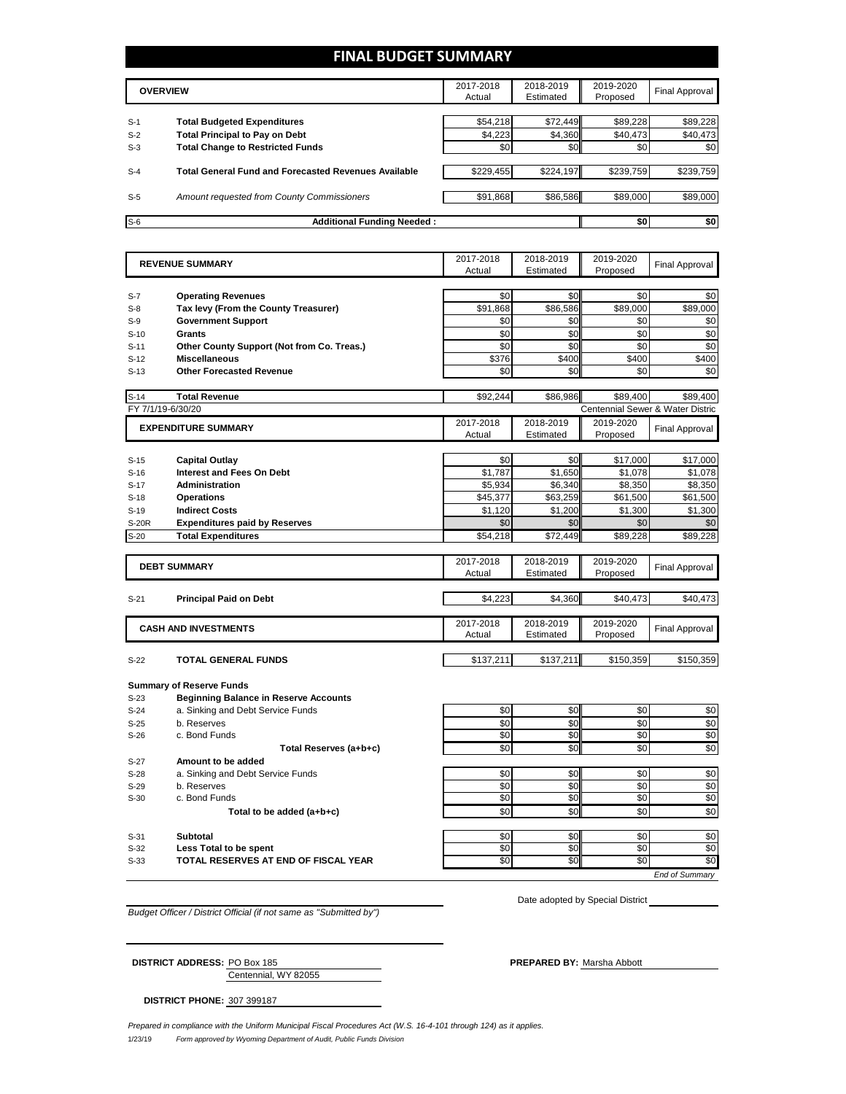## **FINAL BUDGET SUMMARY**

|       | <b>OVERVIEW</b>                                             | 2017-2018<br>Actual | 2018-2019<br>Estimated | 2019-2020<br>Proposed | Final Approval |
|-------|-------------------------------------------------------------|---------------------|------------------------|-----------------------|----------------|
|       |                                                             |                     |                        |                       |                |
| $S-1$ | <b>Total Budgeted Expenditures</b>                          | \$54,218            | \$72,449               | \$89,228              | \$89,228       |
| $S-2$ | <b>Total Principal to Pay on Debt</b>                       | \$4,223             | \$4,360                | \$40,473              | \$40,473       |
| $S-3$ | <b>Total Change to Restricted Funds</b>                     | \$0                 | \$0                    | \$0                   | \$0            |
|       | <b>Total General Fund and Forecasted Revenues Available</b> |                     | \$224,197              |                       |                |
| $S-4$ |                                                             | \$229,455           |                        | \$239,759             | \$239,759      |
| $S-5$ | Amount requested from County Commissioners                  | \$91,868            | \$86,586               | \$89,000              | \$89,000       |
| $S-6$ | <b>Additional Funding Needed:</b>                           |                     |                        | \$0                   | \$0            |

| <b>REVENUE SUMMARY</b>      |                                                                                   | 2017-2018<br>Actual | 2018-2019<br>Estimated | 2019-2020<br>Proposed | <b>Final Approval</b>                        |
|-----------------------------|-----------------------------------------------------------------------------------|---------------------|------------------------|-----------------------|----------------------------------------------|
|                             |                                                                                   |                     |                        |                       |                                              |
| $S-7$                       | <b>Operating Revenues</b>                                                         | \$0                 | \$0                    | \$0                   | \$0                                          |
| $S-8$                       | Tax levy (From the County Treasurer)                                              | \$91,868            | \$86,586               | \$89,000              | \$89,000                                     |
| $S-9$                       | <b>Government Support</b>                                                         | \$0                 | \$0                    | \$0                   | \$0                                          |
| $S-10$                      | Grants                                                                            | \$0                 | \$0                    | \$0                   | \$0                                          |
| $S-11$                      | Other County Support (Not from Co. Treas.)                                        | \$0                 | \$0                    | \$0                   | \$0                                          |
| $S-12$                      | <b>Miscellaneous</b>                                                              | \$376               | \$400                  | \$400                 | \$400                                        |
| $S-13$                      | <b>Other Forecasted Revenue</b>                                                   | \$0                 | \$0                    | \$0                   | \$0                                          |
|                             |                                                                                   |                     |                        |                       |                                              |
| $S-14$<br>FY 7/1/19-6/30/20 | <b>Total Revenue</b>                                                              | \$92,244            | \$86.986               | \$89.400              | \$89,400<br>Centennial Sewer & Water Distric |
|                             |                                                                                   |                     |                        |                       |                                              |
|                             | <b>EXPENDITURE SUMMARY</b>                                                        | 2017-2018<br>Actual | 2018-2019<br>Estimated | 2019-2020<br>Proposed | <b>Final Approval</b>                        |
|                             |                                                                                   |                     |                        |                       |                                              |
| $S-15$                      | <b>Capital Outlay</b>                                                             | \$0                 | \$0                    | \$17,000              | \$17,000                                     |
| $S-16$                      | <b>Interest and Fees On Debt</b>                                                  | \$1,787             | \$1,650                | \$1,078               | \$1,078                                      |
| $S-17$                      | <b>Administration</b>                                                             | \$5.934             | \$6,340                | \$8,350               | \$8,350                                      |
| $S-18$                      | <b>Operations</b>                                                                 | \$45,377            | \$63,259               | \$61,500              | \$61,500                                     |
| $S-19$                      | <b>Indirect Costs</b>                                                             | \$1,120             | \$1,200                | \$1,300               | \$1,300                                      |
| S-20R                       | <b>Expenditures paid by Reserves</b>                                              | \$0                 | \$0                    | \$0                   | \$0                                          |
| $S-20$                      | <b>Total Expenditures</b>                                                         | \$54,218            | \$72,449               | \$89,228              | \$89,228                                     |
|                             |                                                                                   |                     |                        |                       |                                              |
|                             | <b>DEBT SUMMARY</b>                                                               | 2017-2018           | 2018-2019              | 2019-2020             | <b>Final Approval</b>                        |
|                             |                                                                                   | Actual              | Estimated              | Proposed              |                                              |
|                             |                                                                                   |                     |                        |                       |                                              |
| $S-21$                      | <b>Principal Paid on Debt</b>                                                     | \$4,223             | \$4,360                | \$40,473              | \$40,473                                     |
|                             |                                                                                   | 2017-2018           | 2018-2019              | 2019-2020             |                                              |
|                             | <b>CASH AND INVESTMENTS</b>                                                       | Actual              | Estimated              | Proposed              | <b>Final Approval</b>                        |
|                             |                                                                                   |                     |                        |                       |                                              |
| $S-22$                      | TOTAL GENERAL FUNDS                                                               | \$137,211           | \$137,211              | \$150,359             | \$150,359                                    |
|                             |                                                                                   |                     |                        |                       |                                              |
|                             | <b>Summary of Reserve Funds</b>                                                   |                     |                        |                       |                                              |
| $S-23$<br>$S-24$            | <b>Beginning Balance in Reserve Accounts</b><br>a. Sinking and Debt Service Funds | \$0                 | \$0                    | \$0                   | \$0                                          |
|                             |                                                                                   |                     | \$0                    |                       |                                              |
| $S-25$<br>$S-26$            | b. Reserves<br>c. Bond Funds                                                      | \$0<br>\$0          | \$0                    | \$0<br>\$0            | \$0<br>\$0                                   |
|                             | Total Reserves (a+b+c)                                                            | \$0                 | \$0                    | \$0                   | \$0                                          |
| $S-27$                      | Amount to be added                                                                |                     |                        |                       |                                              |
| $S-28$                      | a. Sinking and Debt Service Funds                                                 | \$0                 | \$0                    | \$0                   | \$0                                          |
| $S-29$                      | b. Reserves                                                                       | \$0                 | \$0                    | \$0                   | \$0                                          |
| $S-30$                      | c. Bond Funds                                                                     | \$0                 | \$0                    | \$0                   | \$0                                          |
|                             |                                                                                   | \$0                 | \$0                    | \$0                   | \$0                                          |
|                             | Total to be added (a+b+c)                                                         |                     |                        |                       |                                              |
|                             |                                                                                   |                     |                        |                       |                                              |
| $S-31$                      | <b>Subtotal</b>                                                                   | \$0                 | \$0                    | \$0                   |                                              |
| $S-32$                      | Less Total to be spent                                                            | \$0                 | \$0                    | \$0                   | \$0<br>\$0                                   |
| $S-33$                      | TOTAL RESERVES AT END OF FISCAL YEAR                                              | \$0                 | SO                     | $\overline{50}$       | \$0                                          |

*Budget Officer / District Official (if not same as "Submitted by")*

Date adopted by Special District

Centennial, WY 82055 **DISTRICT ADDRESS:** PO Box 185 **PREPARED BY:** Marsha Abbott

**DISTRICT PHONE:** 307 399187

1/23/19 *Form approved by Wyoming Department of Audit, Public Funds Division Prepared in compliance with the Uniform Municipal Fiscal Procedures Act (W.S. 16-4-101 through 124) as it applies.*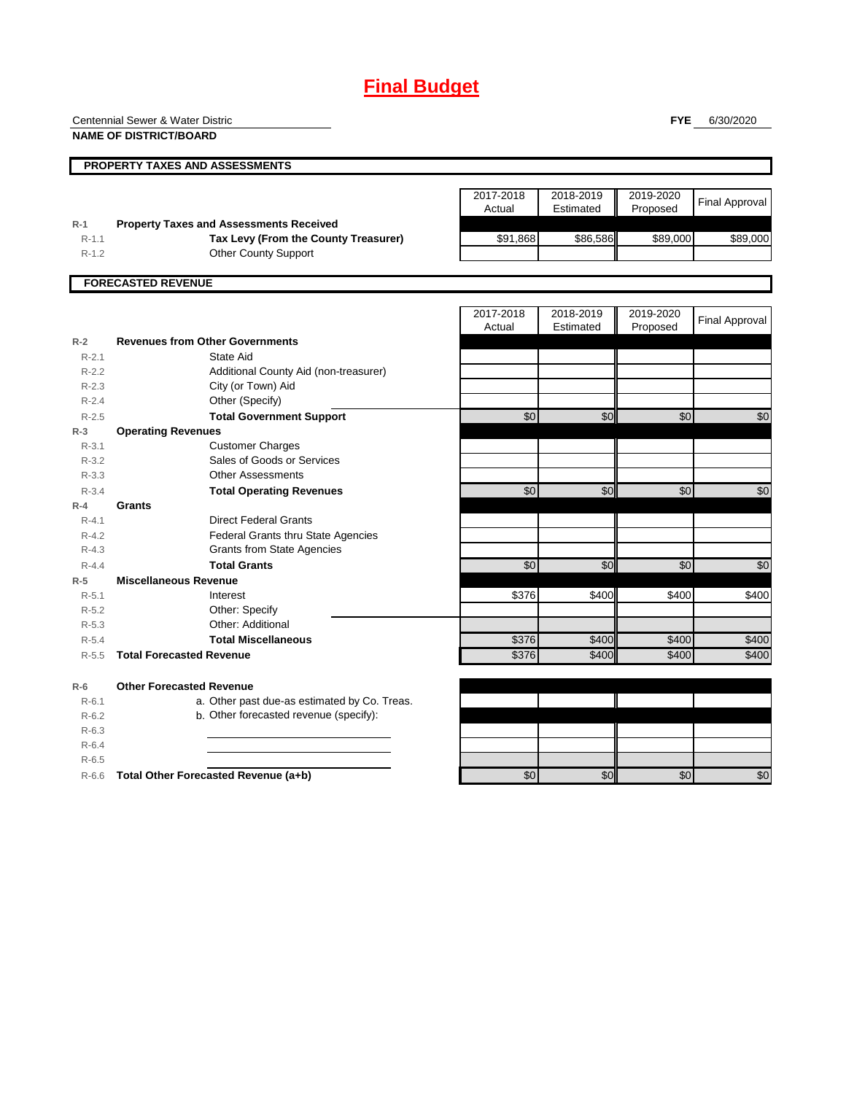## **Final Budget**

**PROPERTY TAXES AND ASSESSMENTS** 2017-2018 Actual 2018-2019 Estimated 2019-2020 <sup>2019-2020</sup> Final Approval **R-1 Property Taxes and Assessments Received** R-1.1 **Tax Levy (From the County Treasurer)** 591,868 \$86,586 \$89,000 \$89,000 \$89,000 R-1.2 Other County Support **FORECASTED REVENUE** 2017-2018 Actual 2018-2019 Estimated 2019-2020 Proposed Final Approval **R-2 Revenues from Other Governments** R-2.1 R-2.2 R-2.3 R-2.4 Other (Specify) R-2.5 **Total Government Support** \$0 \$0 \$0 \$0 **R-3 Operating Revenues** R-3.1 R-3.2 R-3.3 R-3.4 **Total Operating Revenues \$0| \$0| \$0 R-4 Grants** R-4.1 Direct Federal Grants R-4.2 Federal Grants thru State Agencies R-4.3 Grants from State Agencies R-4.4 **Total Grants** \$0 \$0 \$0 \$0 **R-5 Miscellaneous Revenue** R-5.1 Interest \$376 \$400 \$400 \$400 R-5.2 R-5.3 R-5.4 **Total Miscellaneous** \$376 \$400 \$400 \$400 R-5.5 **Total Forecasted Revenue** \$376 \$400 \$400 \$400 **R-6 Other Forecasted Revenue** R-6.1 a. Other past due-as estimated by Co. Treas. R-6.2 b. Other forecasted revenue (specify): R-6.3 R-6.4 R-6.5 R-6.6 **Total Other Forecasted Revenue (a+b)** \$0 \$0 \$0 \$0 Customer Charges Centennial Sewer & Water Distric **NAME OF DISTRICT/BOARD** City (or Town) Aid State Aid Additional County Aid (non-treasurer) Other: Additional Interest Other: Specify Sales of Goods or Services Other Assessments

**FYE** 6/30/2020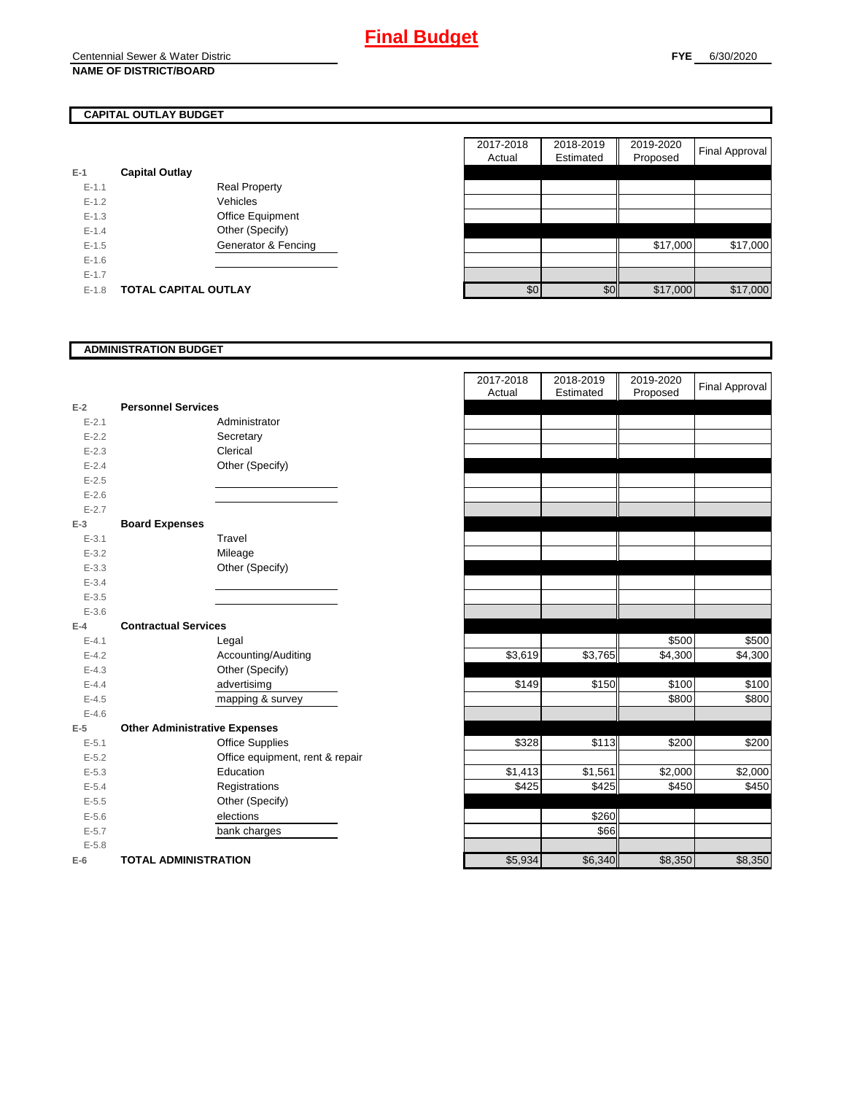## **CAPITAL OUTLAY BUDGET**

| $E-1$     | <b>Capital Outlay</b>       |                         |
|-----------|-----------------------------|-------------------------|
| $E - 1.1$ |                             | <b>Real Property</b>    |
| $F-12$    |                             | Vehicles                |
| $F-1.3$   |                             | <b>Office Equipment</b> |
| $F-14$    |                             | Other (Specify)         |
| $F-1.5$   |                             | Generator & Fencing     |
| $F-16$    |                             |                         |
| $F-17$    |                             |                         |
| $F-1.8$   | <b>TOTAL CAPITAL OUTLAY</b> |                         |

|           |                             |                      | 2017-2018 | 2018-2019<br>Estimated | 2019-2020 | <b>Final Approval</b> |
|-----------|-----------------------------|----------------------|-----------|------------------------|-----------|-----------------------|
|           |                             |                      | Actual    |                        | Proposed  |                       |
|           | <b>Capital Outlay</b>       |                      |           |                        |           |                       |
| $E - 1.1$ |                             | <b>Real Property</b> |           |                        |           |                       |
| $E-1.2$   |                             | Vehicles             |           |                        |           |                       |
| $E-1.3$   |                             | Office Equipment     |           |                        |           |                       |
| $E - 1.4$ |                             | Other (Specify)      |           |                        |           |                       |
| $E-1.5$   |                             | Generator & Fencing  |           |                        | \$17,000  | \$17,000              |
| $E-1.6$   |                             |                      |           |                        |           |                       |
| $E - 1.7$ |                             |                      |           |                        |           |                       |
| $E-1.8$   | <b>TOTAL CAPITAL OUTLAY</b> |                      | \$0       | \$0                    | \$17,000  | \$17,000              |

### **ADMINISTRATION BUDGET**

|           |                                      |                                 | Actual  | Estimated |
|-----------|--------------------------------------|---------------------------------|---------|-----------|
| $E-2$     | <b>Personnel Services</b>            |                                 |         |           |
| $E - 2.1$ |                                      | Administrator                   |         |           |
| $E - 2.2$ |                                      | Secretary                       |         |           |
| $E - 2.3$ |                                      | Clerical                        |         |           |
| $E - 2.4$ |                                      | Other (Specify)                 |         |           |
| $E - 2.5$ |                                      |                                 |         |           |
| $E - 2.6$ |                                      |                                 |         |           |
| $E - 2.7$ |                                      |                                 |         |           |
| $E-3$     | <b>Board Expenses</b>                |                                 |         |           |
| $E - 3.1$ |                                      | Travel                          |         |           |
| $E - 3.2$ |                                      | Mileage                         |         |           |
| $E - 3.3$ |                                      | Other (Specify)                 |         |           |
| $E - 3.4$ |                                      |                                 |         |           |
| $E - 3.5$ |                                      |                                 |         |           |
| $E - 3.6$ |                                      |                                 |         |           |
| $E-4$     | <b>Contractual Services</b>          |                                 |         |           |
| $E - 4.1$ |                                      | Legal                           |         |           |
| $E - 4.2$ |                                      | Accounting/Auditing             | \$3,619 | \$3,765   |
| $E - 4.3$ |                                      | Other (Specify)                 |         |           |
| $E - 4.4$ |                                      | advertisimg                     | \$149   | \$150     |
| $E-4.5$   |                                      | mapping & survey                |         |           |
| $E - 4.6$ |                                      |                                 |         |           |
| $E-5$     | <b>Other Administrative Expenses</b> |                                 |         |           |
| $E - 5.1$ |                                      | <b>Office Supplies</b>          | \$328   | \$113     |
| $E - 5.2$ |                                      | Office equipment, rent & repair |         |           |
| $E - 5.3$ |                                      | Education                       | \$1,413 | \$1,561   |
| $E - 5.4$ |                                      | Registrations                   | \$425   | \$425     |
| $E - 5.5$ |                                      | Other (Specify)                 |         |           |
| $E - 5.6$ |                                      | elections                       |         | \$260     |
| $E - 5.7$ |                                      | bank charges                    |         | \$66      |
| $E - 5.8$ |                                      |                                 |         |           |
| $E-6$     | <b>TOTAL ADMINISTRATION</b>          |                                 | \$5,934 | \$6,340   |

|                          |                                      |                                 | 2017-2018<br>Actual | 2018-2019<br>Estimated | 2019-2020<br>Proposed | <b>Final Approval</b> |
|--------------------------|--------------------------------------|---------------------------------|---------------------|------------------------|-----------------------|-----------------------|
| $\overline{\mathbf{r}}$  | <b>Personnel Services</b>            |                                 |                     |                        |                       |                       |
| $E - 2.1$                |                                      | Administrator                   |                     |                        |                       |                       |
| $E - 2.2$                |                                      | Secretary                       |                     |                        |                       |                       |
| $E - 2.3$                |                                      | Clerical                        |                     |                        |                       |                       |
| $E - 2.4$                |                                      | Other (Specify)                 |                     |                        |                       |                       |
| $E - 2.5$                |                                      |                                 |                     |                        |                       |                       |
| $E - 2.6$                |                                      |                                 |                     |                        |                       |                       |
| $E - 2.7$                |                                      |                                 |                     |                        |                       |                       |
| $\overline{\phantom{a}}$ | <b>Board Expenses</b>                |                                 |                     |                        |                       |                       |
| $E - 3.1$                |                                      | Travel                          |                     |                        |                       |                       |
| $E - 3.2$                |                                      | Mileage                         |                     |                        |                       |                       |
| $E - 3.3$                |                                      | Other (Specify)                 |                     |                        |                       |                       |
| $E - 3.4$                |                                      |                                 |                     |                        |                       |                       |
| $E - 3.5$                |                                      |                                 |                     |                        |                       |                       |
| $E - 3.6$                |                                      |                                 |                     |                        |                       |                       |
| Ļ.                       | <b>Contractual Services</b>          |                                 |                     |                        |                       |                       |
| $E - 4.1$                |                                      | Legal                           |                     |                        | \$500                 | \$500                 |
| $E - 4.2$                |                                      | Accounting/Auditing             | \$3,619             | \$3,765                | \$4,300               | \$4,300               |
| $E - 4.3$                |                                      | Other (Specify)                 |                     |                        |                       |                       |
| $E - 4.4$                |                                      | advertisimg                     | \$149               | \$150                  | \$100                 | \$100                 |
| $E - 4.5$                |                                      | mapping & survey                |                     |                        | \$800                 | \$800                 |
| $E - 4.6$                |                                      |                                 |                     |                        |                       |                       |
| $\overline{\phantom{a}}$ | <b>Other Administrative Expenses</b> |                                 |                     |                        |                       |                       |
| $E - 5.1$                |                                      | <b>Office Supplies</b>          | \$328               | \$113                  | \$200                 | \$200                 |
| $E - 5.2$                |                                      | Office equipment, rent & repair |                     |                        |                       |                       |
| $E - 5.3$                |                                      | Education                       | \$1,413             | \$1,561                | \$2,000               | \$2,000               |
| $E - 5.4$                |                                      | Registrations                   | \$425               | \$425                  | \$450                 | \$450                 |
| $E - 5.5$                |                                      | Other (Specify)                 |                     |                        |                       |                       |
| $E - 5.6$                |                                      | elections                       |                     | \$260                  |                       |                       |
| $E - 5.7$                |                                      | bank charges                    |                     | \$66                   |                       |                       |
| $E - 5.8$                |                                      |                                 |                     |                        |                       |                       |
| ŝ                        | <b>TOTAL ADMINISTRATION</b>          |                                 | \$5,934             | \$6,340                | \$8,350               | \$8,350               |
|                          |                                      |                                 |                     |                        |                       |                       |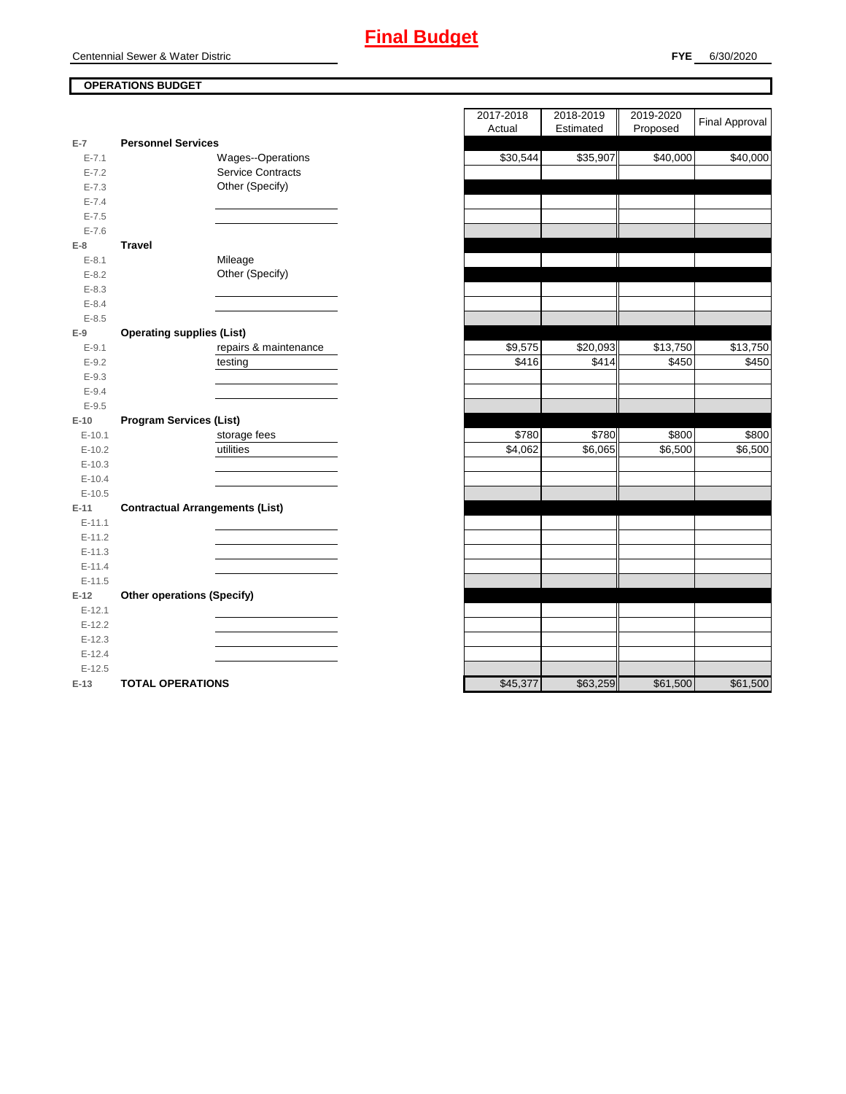## **OPERATIONS BUDGET**

| $E-7$      | <b>Personnel Services</b>              |
|------------|----------------------------------------|
| $E - 7.1$  | <b>Wages--Operations</b>               |
| $E - 7.2$  | <b>Service Contracts</b>               |
| $E - 7.3$  | Other (Specify)                        |
| $E - 7.4$  |                                        |
| $E - 7.5$  |                                        |
| $E - 7.6$  |                                        |
| $E-8$      | Travel                                 |
| $E-8.1$    | Mileage                                |
| $E - 8.2$  | Other (Specify)                        |
| $E - 8.3$  |                                        |
| $E - 8.4$  |                                        |
| $E - 8.5$  |                                        |
| $E-9$      | <b>Operating supplies (List)</b>       |
| $E-9.1$    | repairs & maintenance                  |
| $E - 9.2$  | testing                                |
| $E - 9.3$  |                                        |
| $E - 9.4$  |                                        |
| $E - 9.5$  |                                        |
| $E-10$     | <b>Program Services (List)</b>         |
| $E - 10.1$ | storage fees                           |
| $E-10.2$   | utilities                              |
| $E-10.3$   |                                        |
| $E-10.4$   |                                        |
| $E-10.5$   |                                        |
| $E-11$     | <b>Contractual Arrangements (List)</b> |
| $E - 11.1$ |                                        |
| $E - 11.2$ |                                        |
| $E-11.3$   |                                        |
| $E - 11.4$ |                                        |
| $E-11.5$   |                                        |
| $E-12$     | <b>Other operations (Specify)</b>      |
| $E-12.1$   |                                        |
| $E-12.2$   |                                        |
| $E-12.3$   |                                        |
| $E-12.4$   |                                        |
| $E-12.5$   |                                        |
| $E-13$     | <b>TOTAL OPERATIONS</b>                |

|           |                                        | 2017-2018<br>2018-2019           | 2019-2020 | <b>Final Approval</b> |
|-----------|----------------------------------------|----------------------------------|-----------|-----------------------|
|           |                                        | Estimated<br>Actual              | Proposed  |                       |
| 7         | <b>Personnel Services</b>              |                                  |           |                       |
| $E - 7.1$ | Wages--Operations                      | $\overline{$}30,544$<br>\$35,907 | \$40,000  | \$40,000              |
| $E - 7.2$ | <b>Service Contracts</b>               |                                  |           |                       |
| $E - 7.3$ | Other (Specify)                        |                                  |           |                       |
| $E - 7.4$ |                                        |                                  |           |                       |
| $E - 7.5$ |                                        |                                  |           |                       |
| $E - 7.6$ |                                        |                                  |           |                       |
| 8         | <b>Travel</b>                          |                                  |           |                       |
| $E - 8.1$ | Mileage                                |                                  |           |                       |
| $E - 8.2$ | Other (Specify)                        |                                  |           |                       |
| $E - 8.3$ |                                        |                                  |           |                       |
| $E - 8.4$ |                                        |                                  |           |                       |
| $E - 8.5$ |                                        |                                  |           |                       |
| 9         | <b>Operating supplies (List)</b>       |                                  |           |                       |
| $E-9.1$   | repairs & maintenance                  | \$20,093<br>\$9,575              | \$13,750  | \$13,750              |
| $E-9.2$   | testing                                | \$416<br>\$414                   | \$450     | \$450                 |
| $E - 9.3$ |                                        |                                  |           |                       |
| $E - 9.4$ |                                        |                                  |           |                       |
| $E - 9.5$ |                                        |                                  |           |                       |
| 10        | <b>Program Services (List)</b>         |                                  |           |                       |
| $E-10.1$  | storage fees                           | \$780<br>\$780                   | \$800     | \$800                 |
| $E-10.2$  | utilities                              | \$4,062<br>\$6,065               | \$6,500   | \$6,500               |
| $E-10.3$  |                                        |                                  |           |                       |
| $E-10.4$  |                                        |                                  |           |                       |
| $E-10.5$  |                                        |                                  |           |                       |
| 11        | <b>Contractual Arrangements (List)</b> |                                  |           |                       |
| $E-11.1$  |                                        |                                  |           |                       |
| $E-11.2$  |                                        |                                  |           |                       |
| $E-11.3$  |                                        |                                  |           |                       |
| $E-11.4$  |                                        |                                  |           |                       |
| $E-11.5$  |                                        |                                  |           |                       |
| 12        | <b>Other operations (Specify)</b>      |                                  |           |                       |
| $E-12.1$  |                                        |                                  |           |                       |
| $E-12.2$  |                                        |                                  |           |                       |
| $E-12.3$  |                                        |                                  |           |                       |
| $E-12.4$  |                                        |                                  |           |                       |
| $E-12.5$  |                                        |                                  |           |                       |
| 13.       | TOTAL OPERATIONS                       | \$63,259<br>\$45,377             | \$61500   | \$61500               |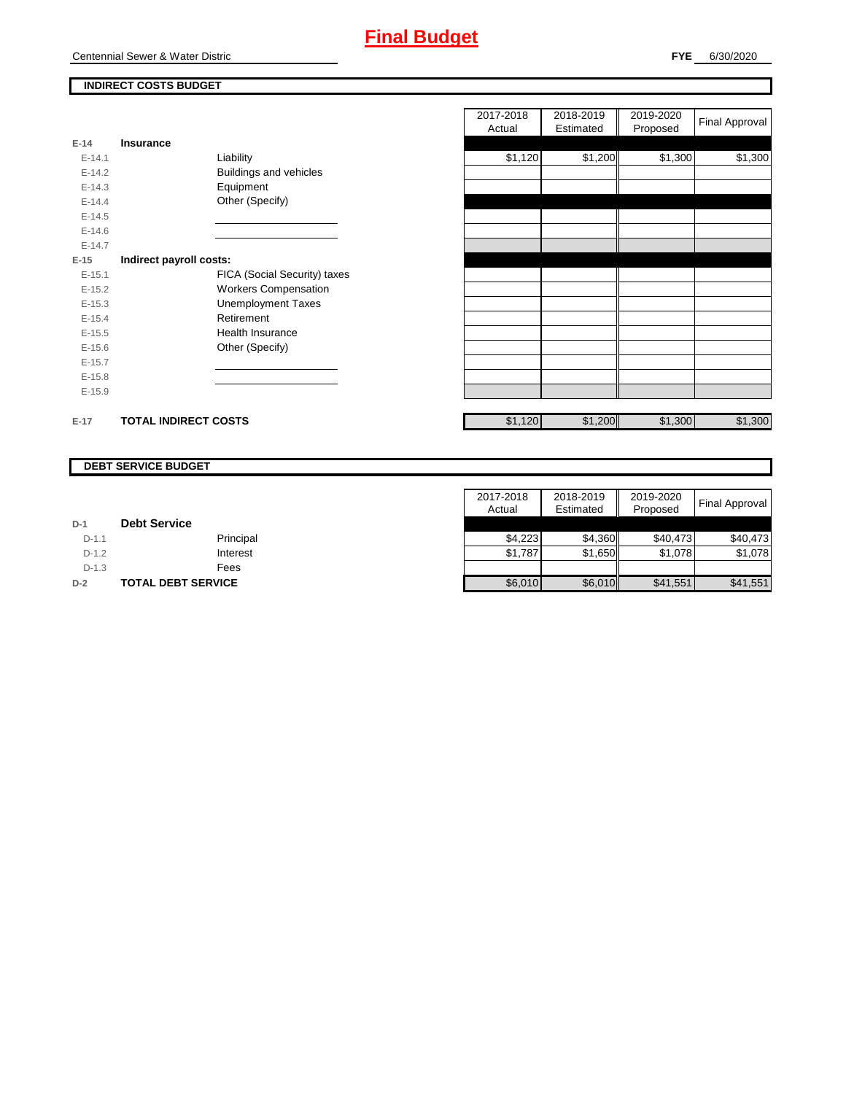

**FYE** 6/30/2020

## **INDIRECT COSTS BUDGET**

| E-14       | Insurance                   |                               |
|------------|-----------------------------|-------------------------------|
| $F-141$    |                             | Liability                     |
| $E-14.2$   |                             | <b>Buildings and vehicles</b> |
| $E-14.3$   |                             | Equipment                     |
| $F-144$    |                             | Other (Specify)               |
| $F-14.5$   |                             |                               |
| $E - 14.6$ |                             |                               |
| $F-147$    |                             |                               |
| $E-15$     | Indirect payroll costs:     |                               |
| $F-151$    |                             | FICA (Social Security) taxes  |
| $E-15.2$   |                             | <b>Workers Compensation</b>   |
| $E - 15.3$ |                             | <b>Unemployment Taxes</b>     |
| $E-15.4$   |                             | Retirement                    |
| $E-15.5$   |                             | Health Insurance              |
| $E - 15.6$ |                             | Other (Specify)               |
| $E-15.7$   |                             |                               |
| $E-15.8$   |                             |                               |
| $E-15.9$   |                             |                               |
|            |                             |                               |
| $E-17$     | <b>TOTAL INDIRECT COSTS</b> |                               |

|          |                             |                              | 2017-2018 | 2018-2019 | 2019-2020 | <b>Final Approval</b> |
|----------|-----------------------------|------------------------------|-----------|-----------|-----------|-----------------------|
|          |                             |                              | Actual    | Estimated | Proposed  |                       |
| 14       | Insurance                   |                              |           |           |           |                       |
| $E-14.1$ |                             | Liability                    | \$1,120   | \$1,200   | \$1,300   | \$1,300               |
| $E-14.2$ |                             | Buildings and vehicles       |           |           |           |                       |
| $E-14.3$ |                             | Equipment                    |           |           |           |                       |
| $E-14.4$ |                             | Other (Specify)              |           |           |           |                       |
| $E-14.5$ |                             |                              |           |           |           |                       |
| $E-14.6$ |                             |                              |           |           |           |                       |
| $E-14.7$ |                             |                              |           |           |           |                       |
| 15       | Indirect payroll costs:     |                              |           |           |           |                       |
| $E-15.1$ |                             | FICA (Social Security) taxes |           |           |           |                       |
| $E-15.2$ |                             | <b>Workers Compensation</b>  |           |           |           |                       |
| $E-15.3$ |                             | <b>Unemployment Taxes</b>    |           |           |           |                       |
| $E-15.4$ |                             | Retirement                   |           |           |           |                       |
| $E-15.5$ |                             | Health Insurance             |           |           |           |                       |
| $E-15.6$ |                             | Other (Specify)              |           |           |           |                       |
| $E-15.7$ |                             |                              |           |           |           |                       |
| $E-15.8$ |                             |                              |           |           |           |                       |
| $E-15.9$ |                             |                              |           |           |           |                       |
|          |                             |                              |           |           |           |                       |
| 17       | <b>TOTAL INDIRECT COSTS</b> |                              | \$1,120   | \$1,200   | \$1,300   | \$1,300               |

#### **DEBT SERVICE BUDGET**

|         |                           | 2017-2018 | 2018-2019 | 2019-2020 |                       |
|---------|---------------------------|-----------|-----------|-----------|-----------------------|
|         |                           | Actual    | Estimated | Proposed  | <b>Final Approval</b> |
| $D-1$   | <b>Debt Service</b>       |           |           |           |                       |
| $D-1.1$ | Principal                 | \$4.223   | \$4.360   | \$40.473  | \$40.473              |
| $D-1.2$ | Interest                  | \$1,787   | \$1.650   | \$1,078   | \$1,078               |
| $D-1.3$ | Fees                      |           |           |           |                       |
| $D-2$   | <b>TOTAL DEBT SERVICE</b> | \$6,010   | \$6,010   | \$41,551  | \$41,551              |